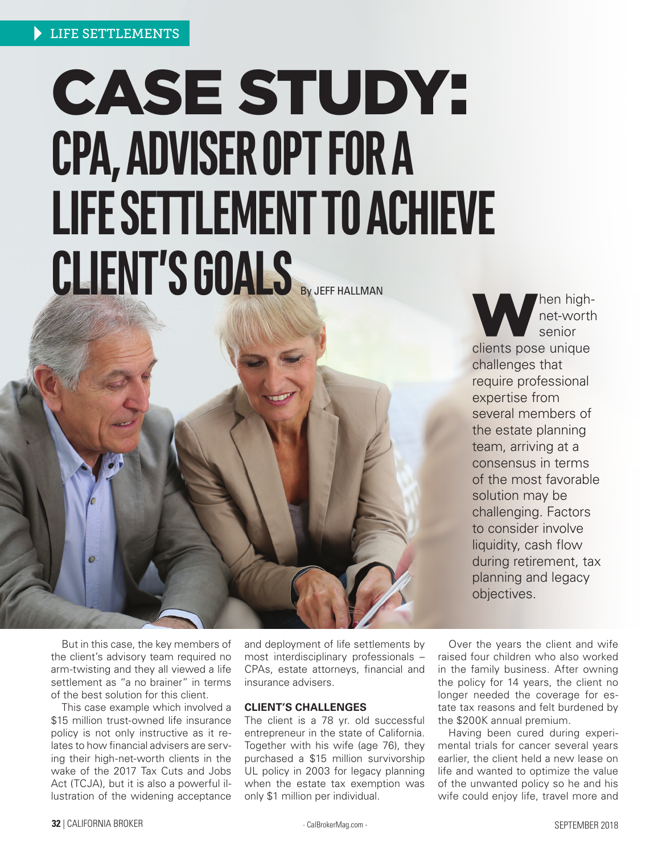# CASE STUDY: **CPA, ADVISER OPT FOR A LIFE SETTLEMENT TO ACHIEVE CLIENT'S GOALS** By JEFF HALLMAN

When high-<br>
net-worth<br>
senior<br>
clients pose unique net-worth senior challenges that require professional expertise from several members of the estate planning team, arriving at a consensus in terms of the most favorable solution may be challenging. Factors to consider involve liquidity, cash flow during retirement, tax planning and legacy objectives.

But in this case, the key members of the client's advisory team required no arm-twisting and they all viewed a life settlement as "a no brainer" in terms of the best solution for this client.

This case example which involved a \$15 million trust-owned life insurance policy is not only instructive as it relates to how financial advisers are serving their high-net-worth clients in the wake of the 2017 Tax Cuts and Jobs Act (TCJA), but it is also a powerful illustration of the widening acceptance

and deployment of life settlements by most interdisciplinary professionals – CPAs, estate attorneys, financial and insurance advisers.

# **CLIENT'S CHALLENGES**

The client is a 78 yr. old successful entrepreneur in the state of California. Together with his wife (age 76), they purchased a \$15 million survivorship UL policy in 2003 for legacy planning when the estate tax exemption was only \$1 million per individual.

Over the years the client and wife raised four children who also worked in the family business. After owning the policy for 14 years, the client no longer needed the coverage for estate tax reasons and felt burdened by the \$200K annual premium.

Having been cured during experimental trials for cancer several years earlier, the client held a new lease on life and wanted to optimize the value of the unwanted policy so he and his wife could enjoy life, travel more and